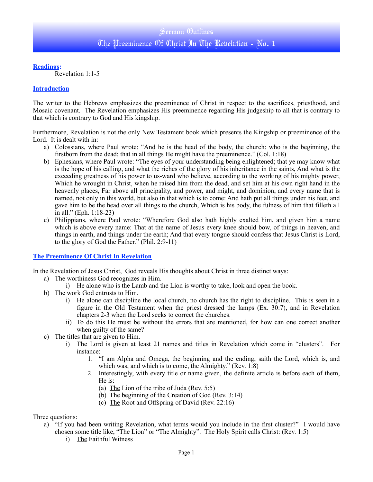**Readings:**

Revelation 1:1-5

#### **Introduction**

The writer to the Hebrews emphasizes the preeminence of Christ in respect to the sacrifices, priesthood, and Mosaic covenant. The Revelation emphasizes His preeminence regarding His judgeship to all that is contrary to that which is contrary to God and His kingship.

Furthermore, Revelation is not the only New Testament book which presents the Kingship or preeminence of the Lord. It is dealt with in:

- a) Colossians, where Paul wrote: "And he is the head of the body, the church: who is the beginning, the firstborn from the dead; that in all things He might have the preeminence." (Col. 1:18)
- b) Ephesians, where Paul wrote: "The eyes of your understanding being enlightened; that ye may know what is the hope of his calling, and what the riches of the glory of his inheritance in the saints, And what is the exceeding greatness of his power to us-ward who believe, according to the working of his mighty power, Which he wrought in Christ, when he raised him from the dead, and set him at his own right hand in the heavenly places, Far above all principality, and power, and might, and dominion, and every name that is named, not only in this world, but also in that which is to come: And hath put all things under his feet, and gave him to be the head over all things to the church, Which is his body, the fulness of him that filleth all in all." (Eph. 1:18-23)
- c) Philippians, where Paul wrote: "Wherefore God also hath highly exalted him, and given him a name which is above every name: That at the name of Jesus every knee should bow, of things in heaven, and things in earth, and things under the earth; And that every tongue should confess that Jesus Christ is Lord, to the glory of God the Father." (Phil. 2:9-11)

#### **The Preeminence Of Christ In Revelation**

In the Revelation of Jesus Christ, God reveals His thoughts about Christ in three distinct ways:

- a) The worthiness God recognizes in Him.
	- i) He alone who is the Lamb and the Lion is worthy to take, look and open the book.
- b) The work God entrusts to Him.
	- i) He alone can discipline the local church, no church has the right to discipline. This is seen in a figure in the Old Testament when the priest dressed the lamps (Ex. 30:7), and in Revelation chapters 2-3 when the Lord seeks to correct the churches.
	- ii) To do this He must be without the errors that are mentioned, for how can one correct another when guilty of the same?
- c) The titles that are given to Him.
	- i) The Lord is given at least 21 names and titles in Revelation which come in "clusters". For instance:
		- 1. "I am Alpha and Omega, the beginning and the ending, saith the Lord, which is, and which was, and which is to come, the Almighty." (Rev. 1:8)
		- 2. Interestingly, with every title or name given, the definite article is before each of them, He is:
			- (a) The Lion of the tribe of Juda (Rev. 5:5)
			- (b) The beginning of the Creation of God (Rev. 3:14)
			- (c) The Root and Offspring of David (Rev. 22:16)

Three questions:

- a) "If you had been writing Revelation, what terms would you include in the first cluster?" I would have chosen some title like, "The Lion" or "The Almighty". The Holy Spirit calls Christ: (Rev. 1:5)
	- i) The Faithful Witness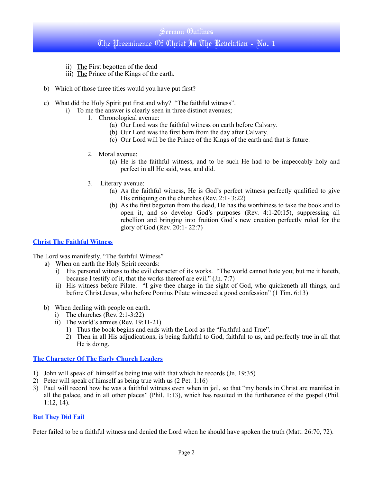# Sermon Outlines The Preeminence Of Christ In The Revelation - No. 1

- ii) The First begotten of the dead
- iii) The Prince of the Kings of the earth.
- b) Which of those three titles would you have put first?
- c) What did the Holy Spirit put first and why? "The faithful witness".
	- i) To me the answer is clearly seen in three distinct avenues;
		- 1. Chronological avenue:
			- (a) Our Lord was the faithful witness on earth before Calvary.
			- (b) Our Lord was the first born from the day after Calvary.
			- (c) Our Lord will be the Prince of the Kings of the earth and that is future.
		- 2. Moral avenue:
			- (a) He is the faithful witness, and to be such He had to be impeccably holy and perfect in all He said, was, and did.
		- 3. Literary avenue:
			- (a) As the faithful witness, He is God's perfect witness perfectly qualified to give His critiquing on the churches (Rev. 2:1- 3:22)
			- (b) As the first begotten from the dead, He has the worthiness to take the book and to open it, and so develop God's purposes (Rev. 4:1-20:15), suppressing all rebellion and bringing into fruition God's new creation perfectly ruled for the glory of God (Rev. 20:1- 22:7)

#### **Christ The Faithful Witness**

The Lord was manifestly, "The faithful Witness"

- a) When on earth the Holy Spirit records:
	- i) His personal witness to the evil character of its works. "The world cannot hate you; but me it hateth, because I testify of it, that the works thereof are evil." (Jn. 7:7)
	- ii) His witness before Pilate. "I give thee charge in the sight of God, who quickeneth all things, and before Christ Jesus, who before Pontius Pilate witnessed a good confession" (1 Tim. 6:13)
- b) When dealing with people on earth.
	- i) The churches (Rev. 2:1-3:22)
	- ii) The world's armies (Rev. 19:11-21)
		- 1) Thus the book begins and ends with the Lord as the "Faithful and True".
		- 2) Then in all His adjudications, is being faithful to God, faithful to us, and perfectly true in all that He is doing.

#### **The Character Of The Early Church Leaders**

- 1) John will speak of himself as being true with that which he records (Jn. 19:35)
- 2) Peter will speak of himself as being true with us (2 Pet. 1:16)
- 3) Paul will record how he was a faithful witness even when in jail, so that "my bonds in Christ are manifest in all the palace, and in all other places" (Phil. 1:13), which has resulted in the furtherance of the gospel (Phil. 1:12, 14).

#### **But They Did Fail**

Peter failed to be a faithful witness and denied the Lord when he should have spoken the truth (Matt. 26:70, 72).